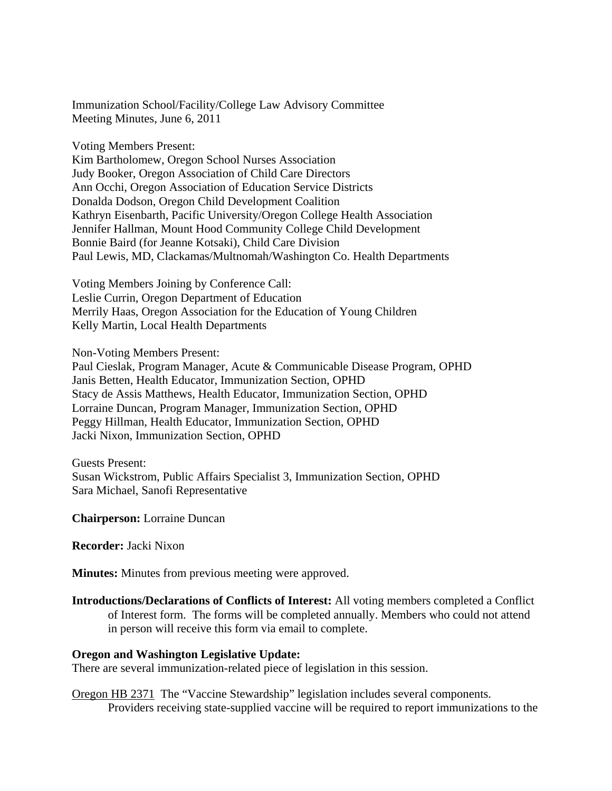Immunization School/Facility/College Law Advisory Committee Meeting Minutes, June 6, 2011

Voting Members Present:

Kim Bartholomew, Oregon School Nurses Association Judy Booker, Oregon Association of Child Care Directors Ann Occhi, Oregon Association of Education Service Districts Donalda Dodson, Oregon Child Development Coalition Kathryn Eisenbarth, Pacific University/Oregon College Health Association Jennifer Hallman, Mount Hood Community College Child Development Bonnie Baird (for Jeanne Kotsaki), Child Care Division Paul Lewis, MD, Clackamas/Multnomah/Washington Co. Health Departments

Voting Members Joining by Conference Call: Leslie Currin, Oregon Department of Education Merrily Haas, Oregon Association for the Education of Young Children Kelly Martin, Local Health Departments

Non-Voting Members Present:

Paul Cieslak, Program Manager, Acute & Communicable Disease Program, OPHD Janis Betten, Health Educator, Immunization Section, OPHD Stacy de Assis Matthews, Health Educator, Immunization Section, OPHD Lorraine Duncan, Program Manager, Immunization Section, OPHD Peggy Hillman, Health Educator, Immunization Section, OPHD Jacki Nixon, Immunization Section, OPHD

Guests Present: Susan Wickstrom, Public Affairs Specialist 3, Immunization Section, OPHD Sara Michael, Sanofi Representative

**Chairperson:** Lorraine Duncan

**Recorder:** Jacki Nixon

**Minutes:** Minutes from previous meeting were approved.

**Introductions/Declarations of Conflicts of Interest:** All voting members completed a Conflict of Interest form. The forms will be completed annually. Members who could not attend in person will receive this form via email to complete.

### **Oregon and Washington Legislative Update:**

There are several immunization-related piece of legislation in this session.

Oregon HB 2371 The "Vaccine Stewardship" legislation includes several components. Providers receiving state-supplied vaccine will be required to report immunizations to the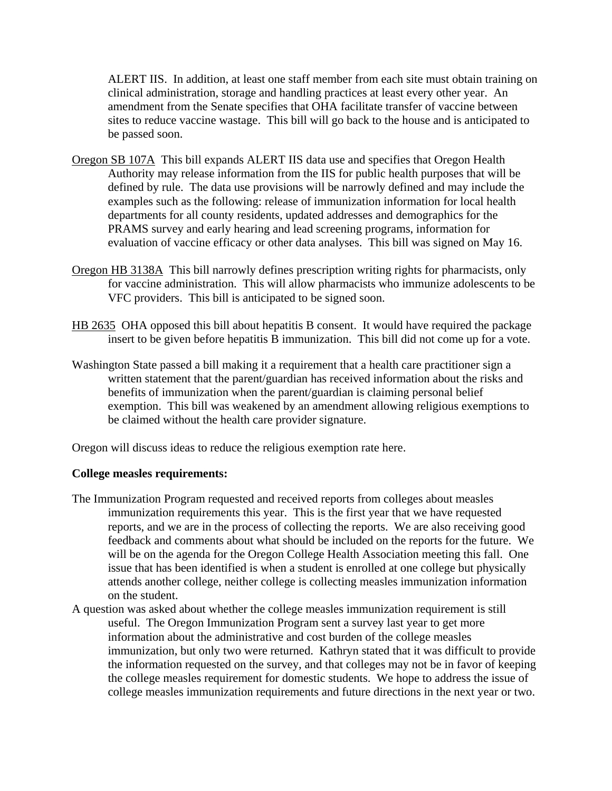ALERT IIS. In addition, at least one staff member from each site must obtain training on clinical administration, storage and handling practices at least every other year. An amendment from the Senate specifies that OHA facilitate transfer of vaccine between sites to reduce vaccine wastage. This bill will go back to the house and is anticipated to be passed soon.

- Oregon SB 107A This bill expands ALERT IIS data use and specifies that Oregon Health Authority may release information from the IIS for public health purposes that will be defined by rule. The data use provisions will be narrowly defined and may include the examples such as the following: release of immunization information for local health departments for all county residents, updated addresses and demographics for the PRAMS survey and early hearing and lead screening programs, information for evaluation of vaccine efficacy or other data analyses. This bill was signed on May 16.
- Oregon HB 3138A This bill narrowly defines prescription writing rights for pharmacists, only for vaccine administration. This will allow pharmacists who immunize adolescents to be VFC providers. This bill is anticipated to be signed soon.
- HB 2635 OHA opposed this bill about hepatitis B consent. It would have required the package insert to be given before hepatitis B immunization. This bill did not come up for a vote.
- Washington State passed a bill making it a requirement that a health care practitioner sign a written statement that the parent/guardian has received information about the risks and benefits of immunization when the parent/guardian is claiming personal belief exemption. This bill was weakened by an amendment allowing religious exemptions to be claimed without the health care provider signature.

Oregon will discuss ideas to reduce the religious exemption rate here.

### **College measles requirements:**

- The Immunization Program requested and received reports from colleges about measles immunization requirements this year. This is the first year that we have requested reports, and we are in the process of collecting the reports. We are also receiving good feedback and comments about what should be included on the reports for the future. We will be on the agenda for the Oregon College Health Association meeting this fall. One issue that has been identified is when a student is enrolled at one college but physically attends another college, neither college is collecting measles immunization information on the student.
- A question was asked about whether the college measles immunization requirement is still useful. The Oregon Immunization Program sent a survey last year to get more information about the administrative and cost burden of the college measles immunization, but only two were returned. Kathryn stated that it was difficult to provide the information requested on the survey, and that colleges may not be in favor of keeping the college measles requirement for domestic students. We hope to address the issue of college measles immunization requirements and future directions in the next year or two.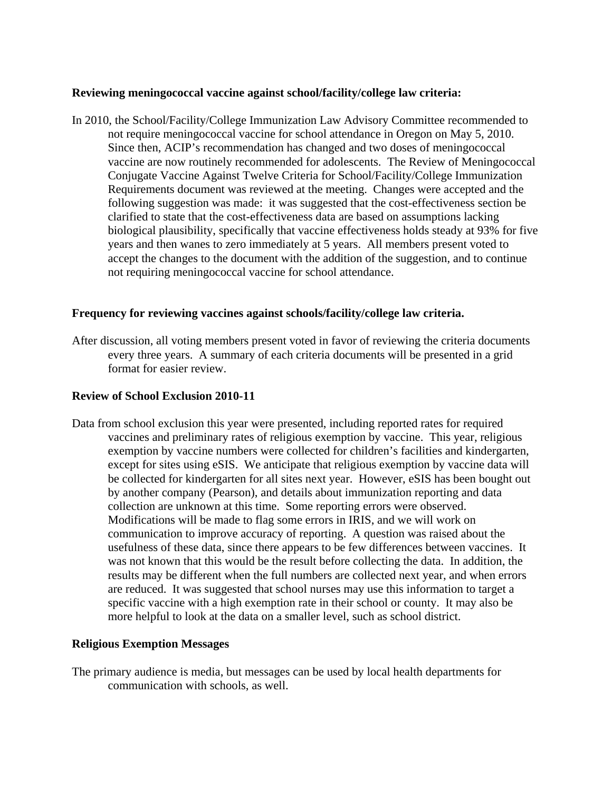#### **Reviewing meningococcal vaccine against school/facility/college law criteria:**

In 2010, the School/Facility/College Immunization Law Advisory Committee recommended to not require meningococcal vaccine for school attendance in Oregon on May 5, 2010. Since then, ACIP's recommendation has changed and two doses of meningococcal vaccine are now routinely recommended for adolescents. The Review of Meningococcal Conjugate Vaccine Against Twelve Criteria for School/Facility/College Immunization Requirements document was reviewed at the meeting. Changes were accepted and the following suggestion was made: it was suggested that the cost-effectiveness section be clarified to state that the cost-effectiveness data are based on assumptions lacking biological plausibility, specifically that vaccine effectiveness holds steady at 93% for five years and then wanes to zero immediately at 5 years. All members present voted to accept the changes to the document with the addition of the suggestion, and to continue not requiring meningococcal vaccine for school attendance.

#### **Frequency for reviewing vaccines against schools/facility/college law criteria.**

After discussion, all voting members present voted in favor of reviewing the criteria documents every three years. A summary of each criteria documents will be presented in a grid format for easier review.

#### **Review of School Exclusion 2010-11**

Data from school exclusion this year were presented, including reported rates for required vaccines and preliminary rates of religious exemption by vaccine. This year, religious exemption by vaccine numbers were collected for children's facilities and kindergarten, except for sites using eSIS. We anticipate that religious exemption by vaccine data will be collected for kindergarten for all sites next year. However, eSIS has been bought out by another company (Pearson), and details about immunization reporting and data collection are unknown at this time. Some reporting errors were observed. Modifications will be made to flag some errors in IRIS, and we will work on communication to improve accuracy of reporting. A question was raised about the usefulness of these data, since there appears to be few differences between vaccines. It was not known that this would be the result before collecting the data. In addition, the results may be different when the full numbers are collected next year, and when errors are reduced. It was suggested that school nurses may use this information to target a specific vaccine with a high exemption rate in their school or county. It may also be more helpful to look at the data on a smaller level, such as school district.

#### **Religious Exemption Messages**

The primary audience is media, but messages can be used by local health departments for communication with schools, as well.